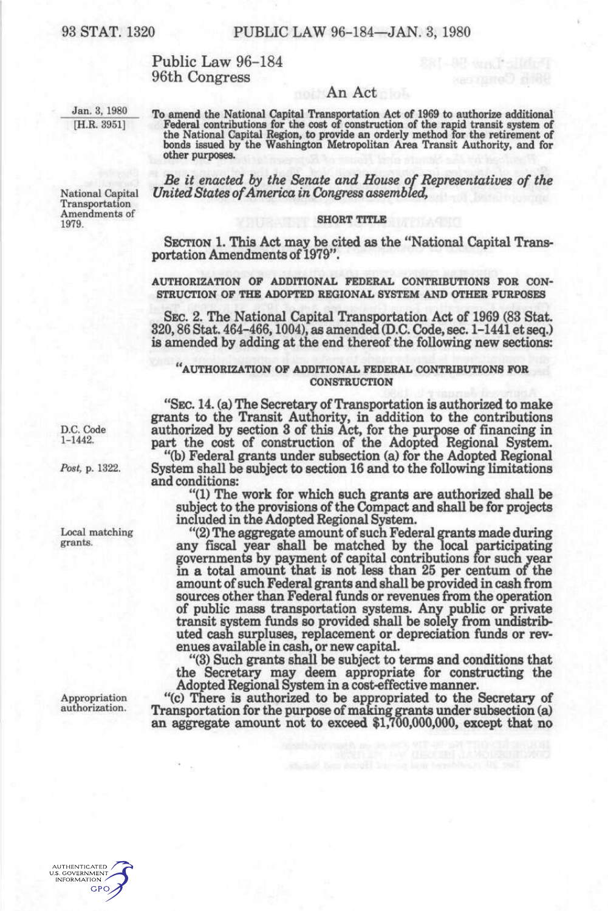# Public Law 96-184 96th Congress

### An Act

Manfal

Jan. 3, 1980 [H.R. 3951]

National Capital Transportation Amendments of

1979.

**To amend the National Capital Transportation Act of 1969 to authorize additional**  Federal contributions for the cost of construction of the rapid transit system of<br>the National Capital Region, to provide an orderly method for the retirement of<br>bonds issued by the Washington Metropolitan Area Transit Aut **other purposes.** 

*Be it enacted by the Senate and House of Representative of the United States of America in Congress assembled,* 

### **SHORT TITLE**

SECTION 1. This Act may be cited as the "National Capital Transportation Amendments of 1979".

#### **AUTHORIZATION OP ADDITIONAL FEDERAL CONTRIBUTIONS FOR CON-STRUCTION OF THE ADOPTED REGIONAL SYSTEM AND OTHER PURPOSES**

SEC 2. The National Capital Transportation Act of 1969 (83 Stat. 320,86 Stat. 464-466,1004), as amended (D.C. Code, sec. 1-1441 et seq.) is amended by adding at the end thereof the following new sections:

## **AUTHORIZATION OP ADDITIONAL FEDERAL CONTRIBUTIONS FOR CONSTRUCTION**

"SEC 14. (a) The Secretary of Transportation is authorized to make grants to the Transit Authority, in addition to the contributions authorized by section 3 of this Act, for the purpose of financing in part the cost of construction of the Adopted Regional System.

"(b) Federal grants under subsection (a) for the Adopted Regional System shall be subject to section 16 and to the following limitations and conditions:

"(1) The work for which such grants are authorized shall be subject to the provisions of the Compact and shall be for projects included in the Adopted Regional System.

"(2) The aggregate amount of such Federal grants made during any fiscal year shall be matched by the local participating governments by payment of capital contributions for such year in a total amount that is not less than 25 per centum of the amount of such Federal grants and shall be provided in cash from sources other than Federal funds or revenues from the operation of public mass transportation systems. Anv public or private transit system funds so provided shall be solely from undistributed cash surpluses, replacement or depreciation funds or revenues available in cash, or new capital.

"(3) Such grants shall be subject to terms and conditions that the Secretary may deem appropriate for constructing the Adopted Regional System in a cost-effective manner.

"(c) There is authorized to be appropriated to the Secretary of Transportation for the purpose of making grants under subsection (a) an aggregate amount not to exceed \$1,700,000,000, except that no

D.C. Code 1-1442.

*Post,* p. 1322.

Local matching grants.

Appropriation authorization.

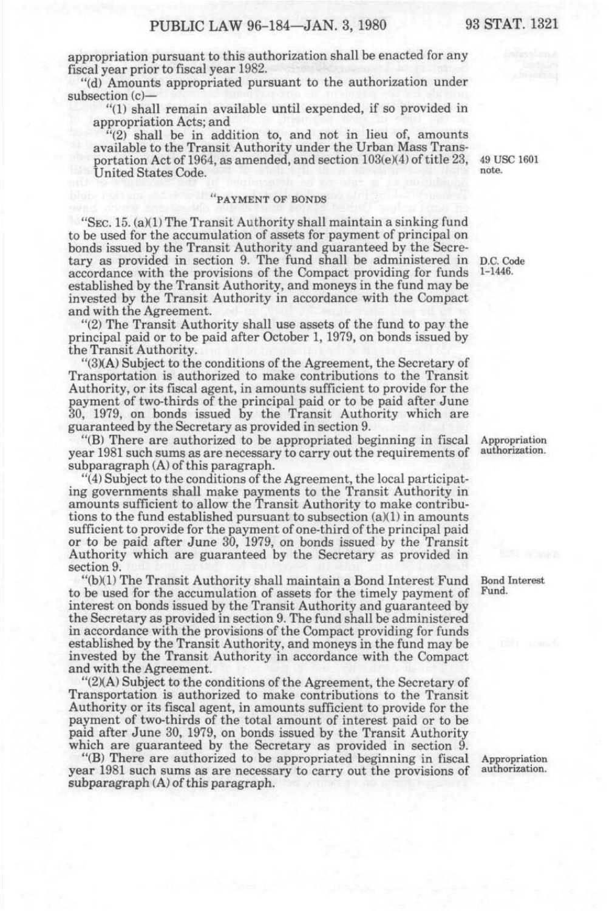appropriation pursuant to this authorization shall be enacted for any fiscal year prior to fiscal year 1982.

"(d) Amounts appropriated pursuant to the authorization under subsection (c)-

"(1) shall remain available until expended, if so provided in appropriation Acts; and

"(2) shall be in addition to, and not in lieu of, amounts available to the Transit Authority under the Urban Mass Transportation Act of 1964, as amended, and section 103(e)(4) of title 23, United States Code.

#### "PAYMENT OF BONDS

"SEC. 15. (a)(1) The Transit Authority shall maintain a sinking fund to be used for the accumulation of assets for payment of principal on bonds issued by the Transit Authority and guaranteed by the Secretary as provided in section 9. The fund shall be administered in D.C. Code accordance with the provisions of the Compact providing for funds established by the Transit Authority, and moneys in the fund may be invested by the Transit Authority in accordance with the Compact and with the Agreement.

"(2) The Transit Authority shall use assets of the fund to pay the principal paid or to be paid after October 1, 1979, on bonds issued by the Transit Authority.

"(3)(A) Subject to the conditions of the Agreement, the Secretary of Transportation is authorized to make contributions to the Transit Authority, or its fiscal agent, in amounts sufficient to provide for the payment of two-thirds of the principal paid or to be paid after June 30, 1979, on bonds issued by the Transit Authority which are guaranteed by the Secretary as provided in section 9.

"(B) There are authorized to be appropriated beginning in fiscal year 1981 such sums as are necessary to carry out the requirements of subparagraph (A) of this paragraph.

"(4) Subject to the conditions of the Agreement, the local participating governments shall make payments to the Transit Authority in amounts sufficient to allow the Transit Authority to make contributions to the fund established pursuant to subsection (a)(1) in amounts sufficient to provide for the payment of one-third of the principal paid or to be paid after June 30, 1979, on bonds issued by the Transit Authority which are guaranteed by the Secretary as provided in section 9.

"(b)(1) The Transit Authority shall maintain a Bond Interest Fund to be used for the accumulation of assets for the timely payment of interest on bonds issued by the Transit Authority and guaranteed by the Secretary as provided in section 9. The fund shall be administered in accordance with the provisions of the Compact providing for funds established by the Transit Authority, and moneys in the fund may be invested by the Transit Authority in accordance with the Compact and with the Agreement.

"(2)(A) Subject to the conditions of the Agreement, the Secretary of Transportation is authorized to make contributions to the Transit Authority or its fiscal agent, in amounts sufficient to provide for the payment of two-thirds of the total amount of interest paid or to be paid after June 30, 1979, on bonds issued by the Transit Authority which are guaranteed by the Secretary as provided in section 9.

"(B) There are authorized to be appropriated beginning in fiscal year 1981 such sums as are necessary to carry out the provisions of subparagraph (A) of this paragraph.

49 USC 1601 note.

1-1446.

Appropriation authorization.

Bond Interest Fund.

Appropriation authorization.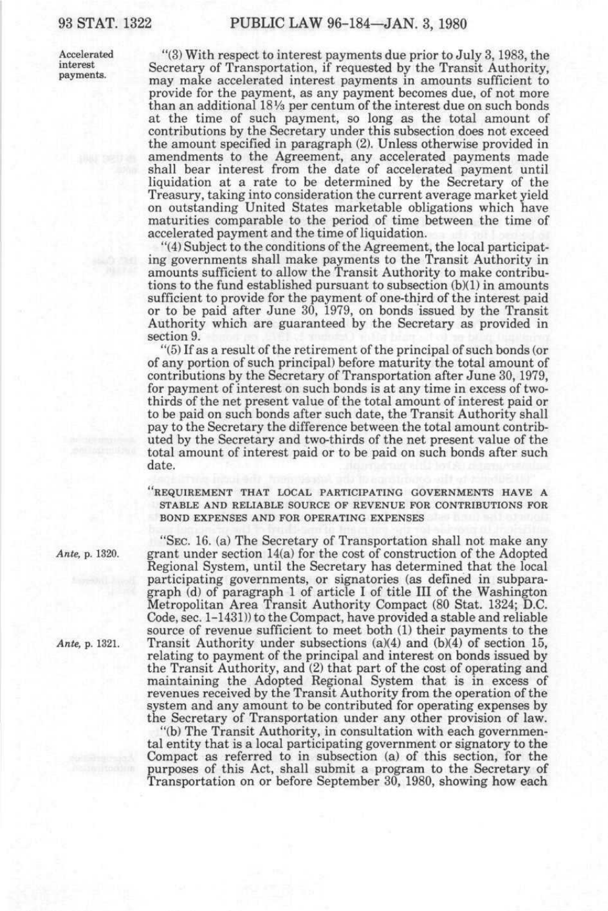Accelerated "(3) With respect to interest payments due prior to July 3, 1983, the interest interest Secretary of Transportation, if requested by the Transit Authority, may make accelerated interest payments in amounts sufficient to provide for the payment, as any payment becomes due, of not more than an additional ISVa per centum of the interest due on such bonds at the time of such payment, so long as the total amount of contributions by the Secretary under this subsection does not exceed the amount specified in paragraph (2). Unless otherwise provided in amendments to the Agreement, any accelerated payments made shall bear interest from the date of accelerated payment until liquidation at a rate to be determined by the Secretary of the Treasury, taking into consideration the current average market yield on outstanding United States marketable obligations which have maturities comparable to the period of time between the time of accelerated payment and the time of liquidation.

> "(4) Subject to the conditions of the Agreement, the local participating governments shall make payments to the Transit Authority in amounts sufficient to allow the Transit Authority to make contributions to the fund established pursuant to subsection  $(b)(1)$  in amounts sufficient to provide for the payment of one-third of the interest paid or to be paid after June 30, 1979, on bonds issued by the Transit Authority which are guaranteed by the Secretary as provided in section 9.

> "(5) If as a result of the retirement of the principal of such bonds (or of any portion of such principal) before maturity the total amount of contributions by the Secretary of Transportation after June 30,1979, for payment of interest on such bonds is at any time in excess of twothirds of the net present value of the total amount of interest paid or to be paid on such bonds after such date, the Transit Authority shall pay to the Secretary the difference between the total amount contributed by the Secretary and two-thirds of the net present value of the total amount of interest paid or to be paid on such bonds after such date.

> "REQUIREMENT THAT LOCAL PARTICIPATING GOVERNMENTS HAVE A STABLE AND RELIABLE SOURCE OF REVENUE FOR CONTRIBUTIONS FOR BOND EXPENSES AND FOR OPERATING EXPENSES

"SEC. 16. (a) The Secretary of Transportation shall not make any *Ante,* p. 1320. grant under section 14(a) for the cost of construction of the Adopted Regional System, until the Secretary has determined that the local participating governments, or signatories (as defined in subparagraph (d) of paragraph 1 of article I of title III of the Washington Metropolitan Area Transit Authority Compact (80 Stat. 1324; D.C. Code, sec. 1-1431)) to the Compact, have provided a stable and reliable source of revenue sufficient to meet both (1) their payments to the *Ante,* p. 1321. Transit Authority under subsections (a)(4) and (b)(4) of section 15, relating to payment of the principal and interest on bonds issued by the Transit Authority, and (2) that part of the cost of operating and maintaining the Adopted Regional System that is in excess of revenues received by the Transit Authority from the operation of the system and any amount to be contributed for operating expenses by the Secretary of Transportation under any other provision of law.

> "(b) The Transit Authority, in consultation with each governmental entity that is a local participating government or signatory to the Compact as referred to in subsection (a) of this section, for the purposes of this Act, shall submit a program to the Secretary of Transportation on or before September 30, 1980, showing how each